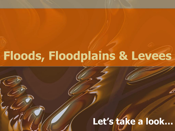# **Floods, Floodplains & Levees**

# **Let's take a look…**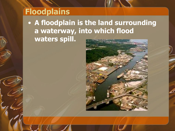# **Floodplains**

• **A floodplain is the land surrounding a waterway, into which flood waters spill.** 

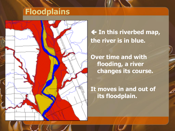# **Floodplains**



#### **In this riverbed map, the river is in blue.**

**Over time and with flooding, a river changes its course.** 

**It moves in and out of its floodplain.**

n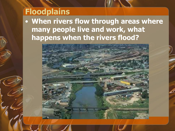## **Floodplains**

• **When rivers flow through areas where many people live and work, what happens when the rivers flood?**

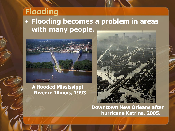### **Flooding** • **Flooding becomes a problem in areas with many people.**



#### **A flooded Mississippi River in Illinois, 1993.**



**Downtown New Orleans after hurricane Katrina, 2005.**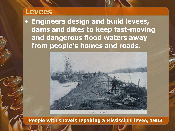#### **Levees**

• **Engineers design and build levees, dams and dikes to keep fast-moving and dangerous flood waters away from people's homes and roads.** 



Repairing levee at Lagrange, Miss.

**People with shovels repairing a Mississippi levee, 1903.**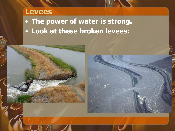### **Levees**

• **The power of water is strong.**  • **Look at these broken levees:**



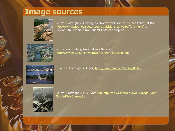#### **Image sources**



Source: Copyright © Copyright © Northwest Fisheries Science Center, NOAA, <http://www.nwfsc.noaa.gov/research/divisions/ec/wpg/offchannel.cfm>. Caption: An urbanized river cut off from its floodplain.



Source: Copyright © National Park Service, [http://www.nps.gov/ncrc/portals/rivers/projpg/flood.htm.](http://www.nps.gov/ncrc/portals/rivers/projpg/flood.htm)



Source: Copyright © FEMA, [http://www.fema.gov/kids/p\\_fld.htm.](http://www.fema.gov/kids/p_fld.htm)



Source: Copyright © U.S. Navy, [URL:http://en.wikipedia.org/wiki/Image:Navy-](http://en.wikipedia.org/wiki/Image:Navy-FloodedNewOrleans.jpg)[FloodedNewOrleans.jpg.](http://en.wikipedia.org/wiki/Image:Navy-FloodedNewOrleans.jpg)